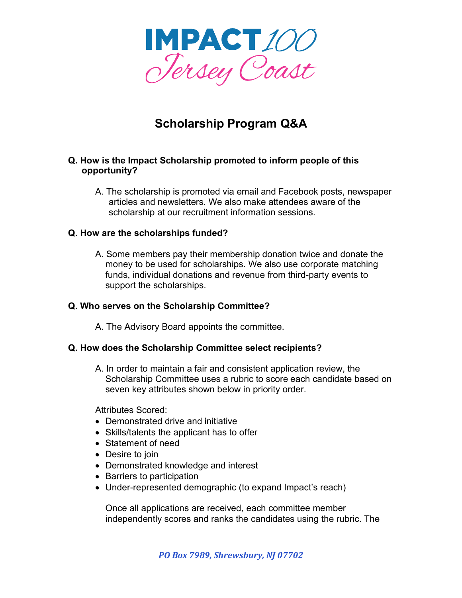

# **Scholarship Program Q&A**

### **Q. How is the Impact Scholarship promoted to inform people of this opportunity?**

A. The scholarship is promoted via email and Facebook posts, newspaper articles and newsletters. We also make attendees aware of the scholarship at our recruitment information sessions.

#### **Q. How are the scholarships funded?**

A. Some members pay their membership donation twice and donate the money to be used for scholarships. We also use corporate matching funds, individual donations and revenue from third-party events to support the scholarships.

#### **Q. Who serves on the Scholarship Committee?**

A. The Advisory Board appoints the committee.

## **Q. How does the Scholarship Committee select recipients?**

A. In order to maintain a fair and consistent application review, the Scholarship Committee uses a rubric to score each candidate based on seven key attributes shown below in priority order.

Attributes Scored:

- Demonstrated drive and initiative
- Skills/talents the applicant has to offer
- Statement of need
- Desire to join
- Demonstrated knowledge and interest
- Barriers to participation
- Under-represented demographic (to expand Impact's reach)

Once all applications are received, each committee member independently scores and ranks the candidates using the rubric. The